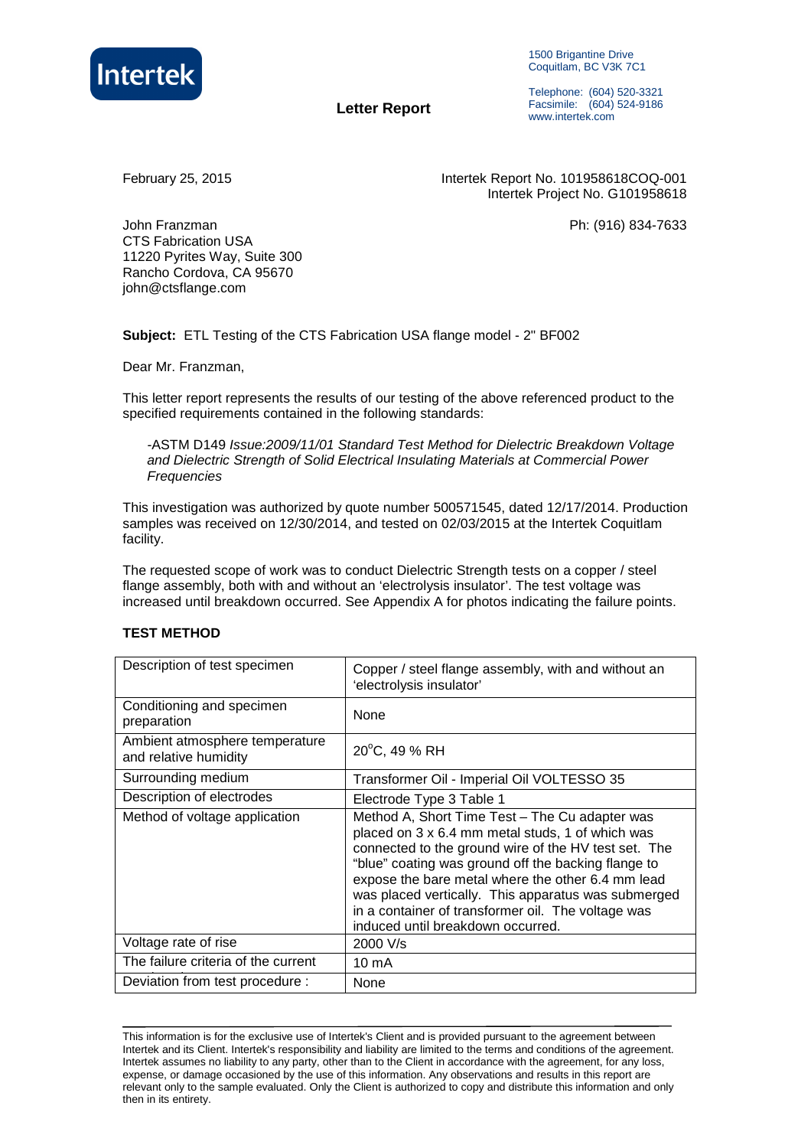

1500 Brigantine Drive Coquitlam, BC V3K 7C1

 **Letter Report**

Telephone: (604) 520-3321 Facsimile: (604) 524-9186 www.intertek.com

February 25, 2015 Intertek Report No. 101958618COQ-001 Intertek Project No. G101958618

John Franzman Ph: (916) 834-7633 CTS Fabrication USA 11220 Pyrites Way, Suite 300 Rancho Cordova, CA 95670 john@ctsflange.com

**Subject:** ETL Testing of the CTS Fabrication USA flange model - 2" BF002

Dear Mr. Franzman,

This letter report represents the results of our testing of the above referenced product to the specified requirements contained in the following standards:

-ASTM D149 Issue:2009/11/01 Standard Test Method for Dielectric Breakdown Voltage and Dielectric Strength of Solid Electrical Insulating Materials at Commercial Power **Frequencies** 

This investigation was authorized by quote number 500571545, dated 12/17/2014. Production samples was received on 12/30/2014, and tested on 02/03/2015 at the Intertek Coquitlam facility.

The requested scope of work was to conduct Dielectric Strength tests on a copper / steel flange assembly, both with and without an 'electrolysis insulator'. The test voltage was increased until breakdown occurred. See Appendix A for photos indicating the failure points.

### **TEST METHOD**

| Description of test specimen                            | Copper / steel flange assembly, with and without an<br>'electrolysis insulator'                                                                                                                                                                                                                                                                                                                                          |  |  |
|---------------------------------------------------------|--------------------------------------------------------------------------------------------------------------------------------------------------------------------------------------------------------------------------------------------------------------------------------------------------------------------------------------------------------------------------------------------------------------------------|--|--|
| Conditioning and specimen<br>preparation                | None                                                                                                                                                                                                                                                                                                                                                                                                                     |  |  |
| Ambient atmosphere temperature<br>and relative humidity | 20°C, 49 % RH                                                                                                                                                                                                                                                                                                                                                                                                            |  |  |
| Surrounding medium                                      | Transformer Oil - Imperial Oil VOLTESSO 35                                                                                                                                                                                                                                                                                                                                                                               |  |  |
| Description of electrodes                               | Electrode Type 3 Table 1                                                                                                                                                                                                                                                                                                                                                                                                 |  |  |
| Method of voltage application                           | Method A, Short Time Test – The Cu adapter was<br>placed on 3 x 6.4 mm metal studs, 1 of which was<br>connected to the ground wire of the HV test set. The<br>"blue" coating was ground off the backing flange to<br>expose the bare metal where the other 6.4 mm lead<br>was placed vertically. This apparatus was submerged<br>in a container of transformer oil. The voltage was<br>induced until breakdown occurred. |  |  |
| Voltage rate of rise                                    | 2000 V/s                                                                                                                                                                                                                                                                                                                                                                                                                 |  |  |
| The failure criteria of the current                     | 10 mA                                                                                                                                                                                                                                                                                                                                                                                                                    |  |  |
| Deviation from test procedure :                         | None                                                                                                                                                                                                                                                                                                                                                                                                                     |  |  |

This information is for the exclusive use of Intertek's Client and is provided pursuant to the agreement between Intertek and its Client. Intertek's responsibility and liability are limited to the terms and conditions of the agreement. Intertek assumes no liability to any party, other than to the Client in accordance with the agreement, for any loss, expense, or damage occasioned by the use of this information. Any observations and results in this report are relevant only to the sample evaluated. Only the Client is authorized to copy and distribute this information and only then in its entirety.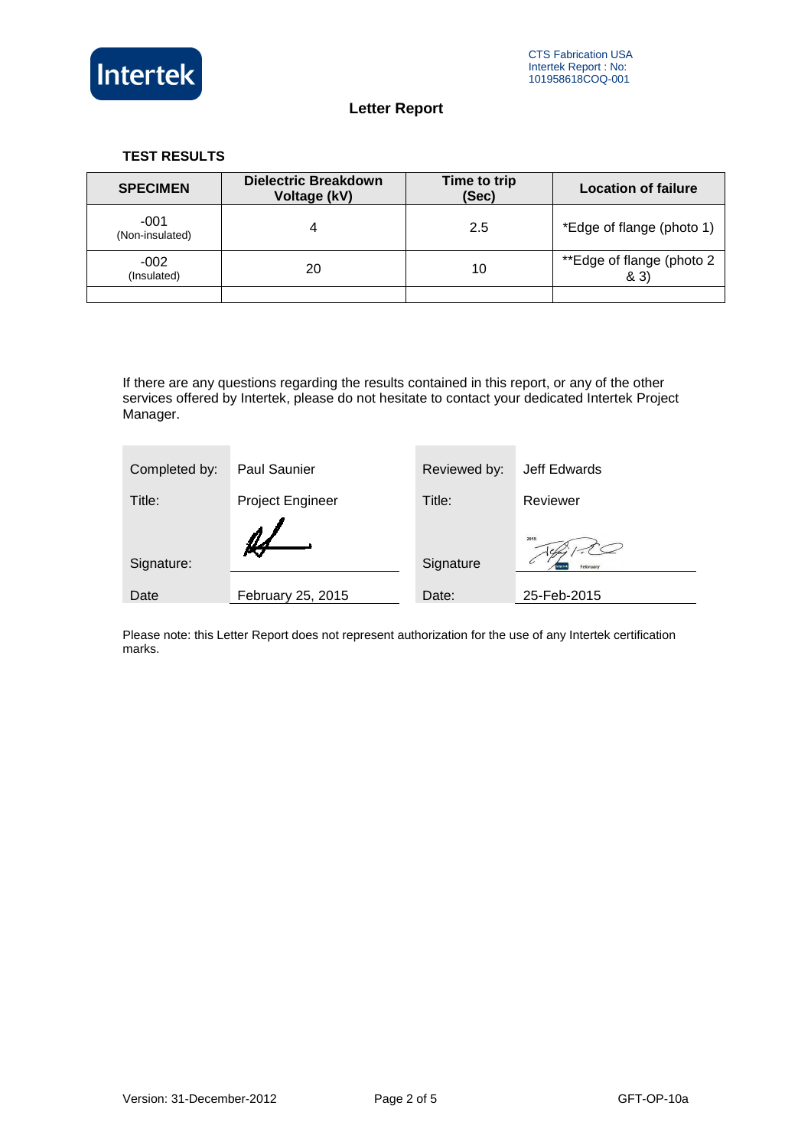

### **TEST RESULTS**

| <b>SPECIMEN</b>           | <b>Dielectric Breakdown</b><br>Voltage (kV) | Time to trip<br>(Sec) | <b>Location of failure</b>        |
|---------------------------|---------------------------------------------|-----------------------|-----------------------------------|
| $-001$<br>(Non-insulated) | 4                                           | 2.5                   | *Edge of flange (photo 1)         |
| $-002$<br>(Insulated)     | 20                                          | 10                    | **Edge of flange (photo 2<br>& 3) |
|                           |                                             |                       |                                   |

If there are any questions regarding the results contained in this report, or any of the other services offered by Intertek, please do not hesitate to contact your dedicated Intertek Project Manager.

| Completed by: | <b>Paul Saunier</b>     | Reviewed by: | Jeff Edwards     |
|---------------|-------------------------|--------------|------------------|
| Title:        | <b>Project Engineer</b> | Title:       | Reviewer         |
| Signature:    |                         | Signature    | 2015<br>February |
| Date          | February 25, 2015       | Date:        | 25-Feb-2015      |

Please note: this Letter Report does not represent authorization for the use of any Intertek certification marks.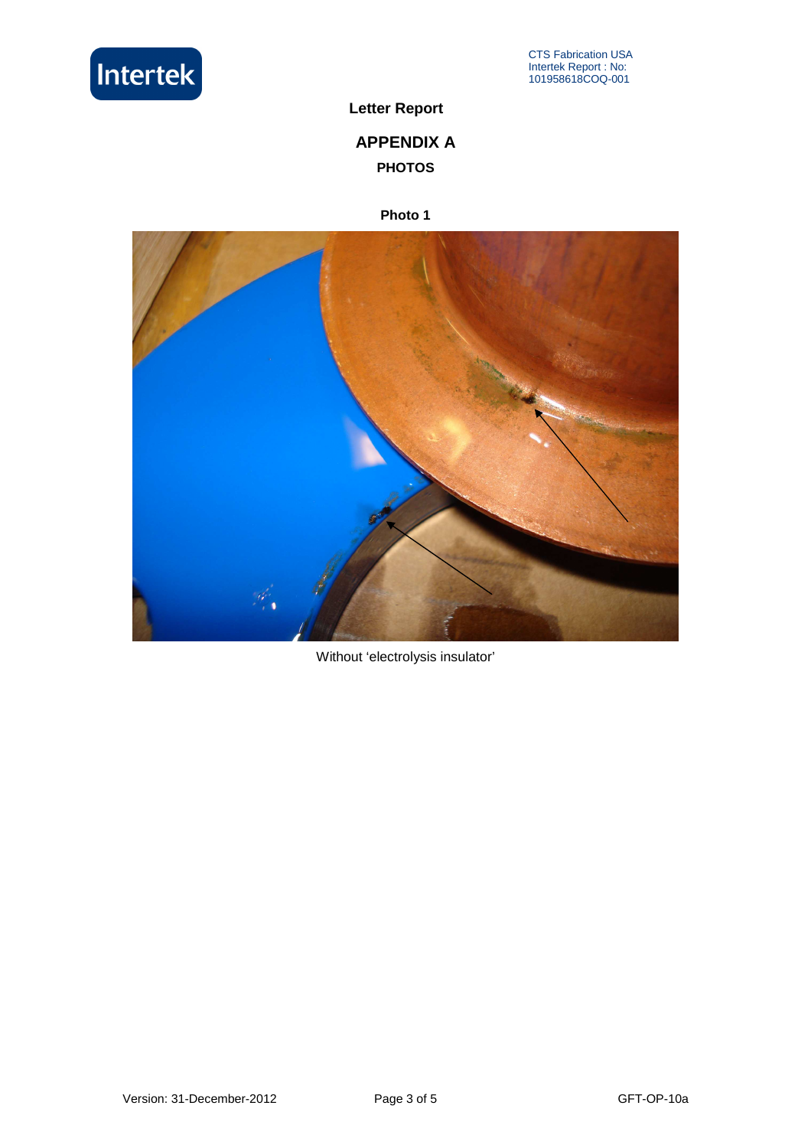

# **APPENDIX A PHOTOS**

## **Photo 1**



Without 'electrolysis insulator'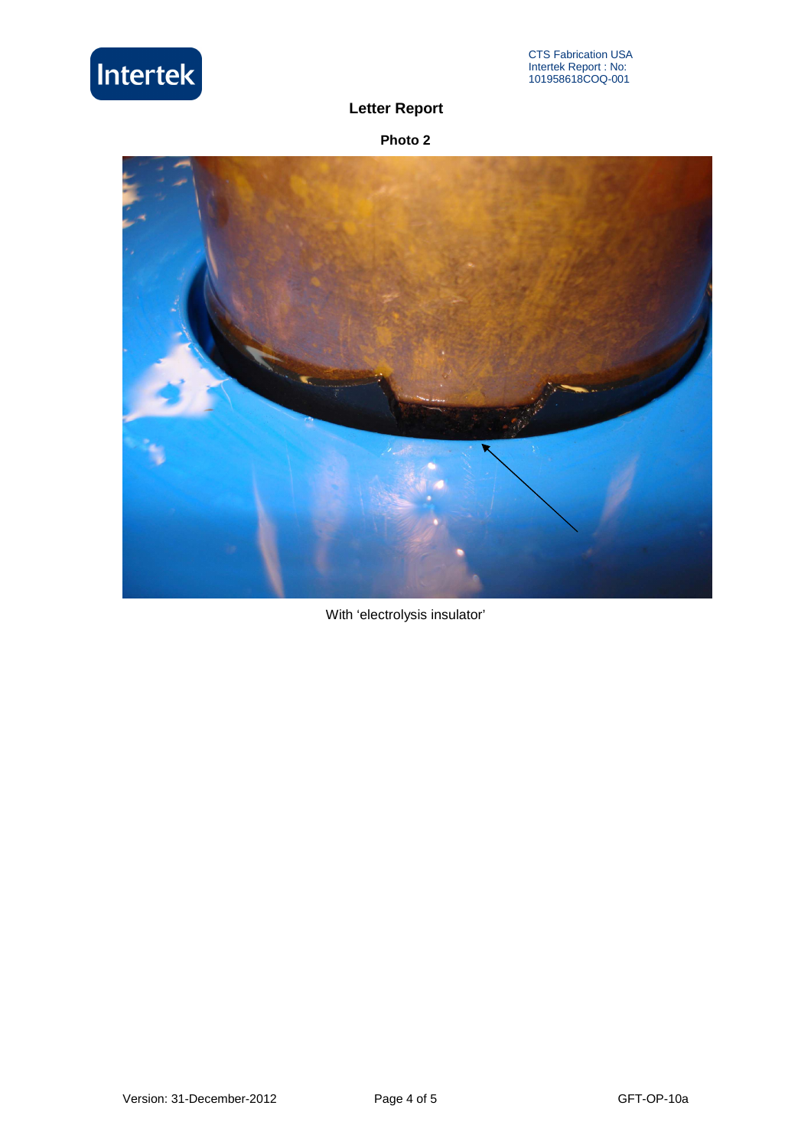

**Photo 2** 



With 'electrolysis insulator'